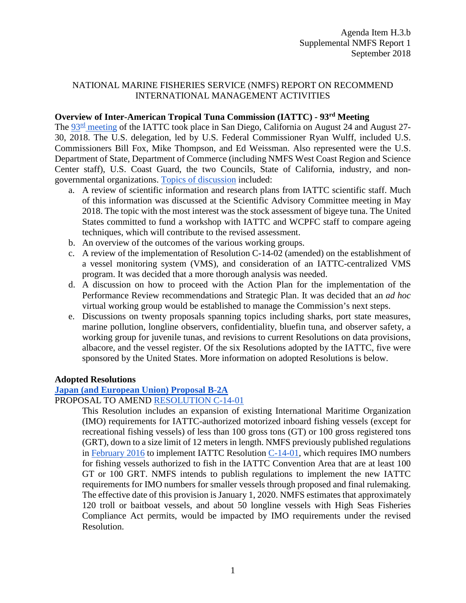# NATIONAL MARINE FISHERIES SERVICE (NMFS) REPORT ON RECOMMEND INTERNATIONAL MANAGEMENT ACTIVITIES

### **Overview of Inter-American Tropical Tuna Commission (IATTC) - 93rd Meeting**

The [93](https://www.iattc.org/Meetings/Meetings2018/IATTC-93/IATTC-AIDCP-Annual-Meetings-AUG2018ENG.htm)[rd](https://www.iattc.org/Meetings/Meetings2018/IATTC-93/IATTC-AIDCP-Annual-Meetings-AUG2018ENG.htm) [meeting](https://www.iattc.org/Meetings/Meetings2018/IATTC-93/IATTC-AIDCP-Annual-Meetings-AUG2018ENG.htm) of the IATTC took place in San Diego, California on August 24 and August 27- 30, 2018. The U.S. delegation, led by U.S. Federal Commissioner Ryan Wulff, included U.S. Commissioners Bill Fox, Mike Thompson, and Ed Weissman. Also represented were the U.S. Department of State, Department of Commerce (including NMFS West Coast Region and Science Center staff), U.S. Coast Guard, the two Councils, State of California, industry, and nongovernmental organizations. [Topics of discussion](https://www.iattc.org/Meetings/Meetings2018/IATTC-93/PDFs/Agendas/_English/IATTC-93-EN-AGN_93rd-Meeting-of-the-IATTC.pdf) included:

- a. A review of scientific information and research plans from IATTC scientific staff. Much of this information was discussed at the Scientific Advisory Committee meeting in May 2018. The topic with the most interest was the stock assessment of bigeye tuna. The United States committed to fund a workshop with IATTC and WCPFC staff to compare ageing techniques, which will contribute to the revised assessment.
- b. An overview of the outcomes of the various working groups.
- c. A review of the implementation of Resolution C-14-02 (amended) on the establishment of a vessel monitoring system (VMS), and consideration of an IATTC-centralized VMS program. It was decided that a more thorough analysis was needed.
- d. A discussion on how to proceed with the Action Plan for the implementation of the Performance Review recommendations and Strategic Plan. It was decided that an *ad hoc* virtual working group would be established to manage the Commission's next steps.
- e. Discussions on twenty proposals spanning topics including sharks, port state measures, marine pollution, longline observers, confidentiality, bluefin tuna, and observer safety, a working group for juvenile tunas, and revisions to current Resolutions on data provisions, albacore, and the vessel register. Of the six Resolutions adopted by the IATTC, five were sponsored by the United States. More information on adopted Resolutions is below.

### **Adopted Resolutions**

## **[Japan \(and European Union\) Proposal B-2A](https://www.iattc.org/Meetings/Meetings2018/IATTC-93/PDFs/PROP/_English/IATTC-93-PROP-B-2A_JPN%20Amendment%20to%20C-14-01-Regional-Vessel-Register.pdf)**

#### PROPOSAL TO AMEND [RESOLUTION C-14-01](https://www.iattc.org/PDFFiles/Resolutions/IATTC/_English/C-14-01-Regional-Vessel-Register.pdf)

This Resolution includes an expansion of existing International Maritime Organization (IMO) requirements for IATTC-authorized motorized inboard fishing vessels (except for recreational fishing vessels) of less than 100 gross tons (GT) or 100 gross registered tons (GRT), down to a size limit of 12 meters in length. NMFS previously published regulations in [February 2016](https://www.regulations.gov/document?D=NOAA-NMFS-2015-0129-0002) to implement IATTC Resolution [C-14-01,](https://www.iattc.org/PDFFiles/Resolutions/IATTC/_English/C-14-01-Regional-Vessel-Register.pdf) which requires IMO numbers for fishing vessels authorized to fish in the IATTC Convention Area that are at least 100 GT or 100 GRT. NMFS intends to publish regulations to implement the new IATTC requirements for IMO numbers for smaller vessels through proposed and final rulemaking. The effective date of this provision is January 1, 2020. NMFS estimates that approximately 120 troll or baitboat vessels, and about 50 longline vessels with High Seas Fisheries Compliance Act permits, would be impacted by IMO requirements under the revised Resolution.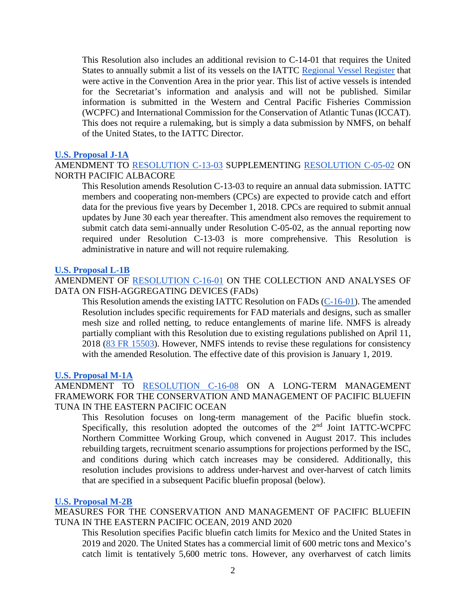This Resolution also includes an additional revision to C-14-01 that requires the United States to annually submit a list of its vessels on the IATTC [Regional Vessel Register](https://www.iattc.org/VesselRegister/VesselList.aspx?List=RegVessels) that were active in the Convention Area in the prior year. This list of active vessels is intended for the Secretariat's information and analysis and will not be published. Similar information is submitted in the Western and Central Pacific Fisheries Commission (WCPFC) and International Commission for the Conservation of Atlantic Tunas (ICCAT). This does not require a rulemaking, but is simply a data submission by NMFS, on behalf of the United States, to the IATTC Director.

### **[U.S. Proposal J-1A](https://www.iattc.org/Meetings/Meetings2018/IATTC-93/PDFs/PROP/_English/IATTC-93-PROP-J-1A_USA%20Amendment%20to%20C-13-03%20North%20Pacific%20albacore.pdf)**

AMENDMENT TO [RESOLUTION C-13-03](https://www.iattc.org/PDFFiles/Resolutions/IATTC/_English/C-13-03-North-Pacific-albacore.pdf) SUPPLEMENTING [RESOLUTION C-05-02](https://www.iattc.org/PDFFiles/Resolutions/IATTC/_English/C-05-02-Northern-albacore-tuna.pdf) ON NORTH PACIFIC ALBACORE

This Resolution amends Resolution C-13-03 to require an annual data submission. IATTC members and cooperating non-members (CPCs) are expected to provide catch and effort data for the previous five years by December 1, 2018. CPCs are required to submit annual updates by June 30 each year thereafter. This amendment also removes the requirement to submit catch data semi-annually under Resolution C-05-02, as the annual reporting now required under Resolution C-13-03 is more comprehensive. This Resolution is administrative in nature and will not require rulemaking.

#### **[U.S. Proposal L-1B](https://www.iattc.org/Meetings/Meetings2018/IATTC-93/PDFs/PROP/_English/IATTC-93-PROP-L-1B_USA%20FADs.pdf)**

AMENDMENT OF [RESOLUTION C-16-01](https://www.iattc.org/PDFFiles/Resolutions/IATTC/_English/C-16-01-FADs-Amendment-C-15-03.pdf) ON THE COLLECTION AND ANALYSES OF DATA ON FISH-AGGREGATING DEVICES (FADs)

This Resolution amends the existing IATTC Resolution on FADs [\(C-16-01\)](http://www.iattc.org/PDFFiles/Resolutions/IATTC/_English/C-16-01-FADs-Amendment-C-15-03.pdf). The amended Resolution includes specific requirements for FAD materials and designs, such as smaller mesh size and rolled netting, to reduce entanglements of marine life. NMFS is already partially compliant with this Resolution due to existing regulations published on April 11, 2018 [\(83 FR 15503\)](https://www.federalregister.gov/documents/2018/04/11/2018-07387/international-fisheries-pacific-tuna-fisheries-fishing-restrictions-for-tropical-tuna-in-the-eastern). However, NMFS intends to revise these regulations for consistency with the amended Resolution. The effective date of this provision is January 1, 2019.

#### **[U.S. Proposal M-1A](https://www.iattc.org/Meetings/Meetings2018/IATTC-93/PDFs/PROP/_English/IATTC-93-PROP-M-1A_USA%20Bluefin%20tuna%20long%20term.pdf)**

AMENDMENT TO [RESOLUTION C-16-08](https://www.iattc.org/PDFFiles/Resolutions/IATTC/_English/C-16-08-Conservation-and-management-of-Pacific-bluefin-tuna.pdf) ON A LONG-TERM MANAGEMENT FRAMEWORK FOR THE CONSERVATION AND MANAGEMENT OF PACIFIC BLUEFIN TUNA IN THE EASTERN PACIFIC OCEAN

This Resolution focuses on long-term management of the Pacific bluefin stock. Specifically, this resolution adopted the outcomes of the 2<sup>nd</sup> Joint IATTC-WCPFC Northern Committee Working Group, which convened in August 2017. This includes rebuilding targets, recruitment scenario assumptions for projections performed by the ISC, and conditions during which catch increases may be considered. Additionally, this resolution includes provisions to address under-harvest and over-harvest of catch limits that are specified in a subsequent Pacific bluefin proposal (below).

#### **[U.S. Proposal M-2B](https://www.iattc.org/Meetings/Meetings2018/IATTC-93/PDFs/PROP/_English/IATTC-93-PROP-M-2B_USA%20Bluefin%20tuna%202019-2020.pdf)**

MEASURES FOR THE CONSERVATION AND MANAGEMENT OF PACIFIC BLUEFIN TUNA IN THE EASTERN PACIFIC OCEAN, 2019 AND 2020

This Resolution specifies Pacific bluefin catch limits for Mexico and the United States in 2019 and 2020. The United States has a commercial limit of 600 metric tons and Mexico's catch limit is tentatively 5,600 metric tons. However, any overharvest of catch limits